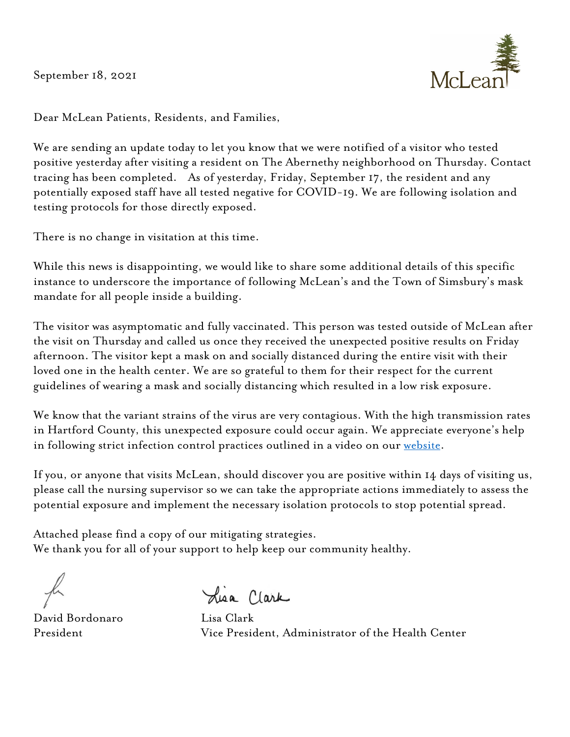September 18, 2021



Dear McLean Patients, Residents, and Families,

We are sending an update today to let you know that we were notified of a visitor who tested positive yesterday after visiting a resident on The Abernethy neighborhood on Thursday. Contact tracing has been completed. As of yesterday, Friday, September 17, the resident and any potentially exposed staff have all tested negative for COVID-19. We are following isolation and testing protocols for those directly exposed.

There is no change in visitation at this time.

While this news is disappointing, we would like to share some additional details of this specific instance to underscore the importance of following McLean's and the Town of Simsbury's mask mandate for all people inside a building.

The visitor was asymptomatic and fully vaccinated. This person was tested outside of McLean after the visit on Thursday and called us once they received the unexpected positive results on Friday afternoon. The visitor kept a mask on and socially distanced during the entire visit with their loved one in the health center. We are so grateful to them for their respect for the current guidelines of wearing a mask and socially distancing which resulted in a low risk exposure.

We know that the variant strains of the virus are very contagious. With the high transmission rates in Hartford County, this unexpected exposure could occur again. We appreciate everyone's help in following strict infection control practices outlined in a video on our website.

If you, or anyone that visits McLean, should discover you are positive within 14 days of visiting us, please call the nursing supervisor so we can take the appropriate actions immediately to assess the potential exposure and implement the necessary isolation protocols to stop potential spread.

Attached please find a copy of our mitigating strategies. We thank you for all of your support to help keep our community healthy.

David Bordonaro Lisa Clark

President Vice President, Administrator of the Health Center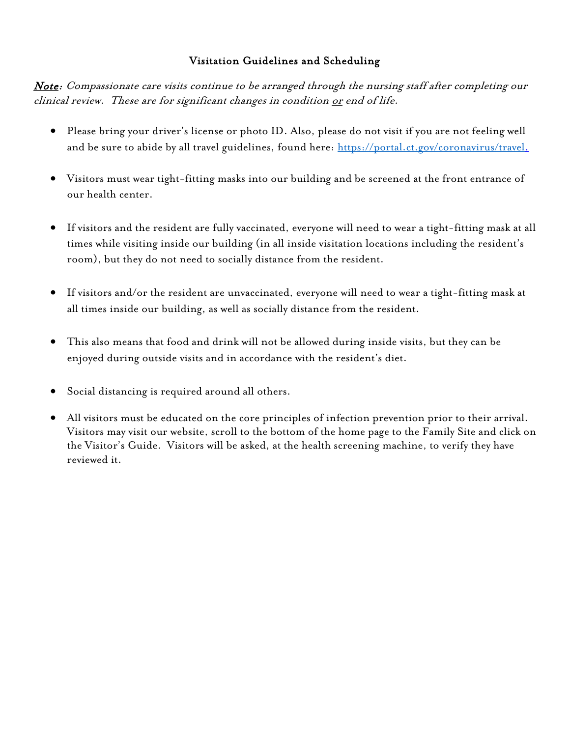## Visitation Guidelines and Scheduling

Note: Compassionate care visits continue to be arranged through the nursing staff after completing our clinical review. These are for significant changes in condition <u>or</u> end of life.

- Please bring your driver's license or photo ID. Also, please do not visit if you are not feeling well and be sure to abide by all travel guidelines, found here: https://portal.ct.gov/coronavirus/travel.
- Visitors must wear tight-fitting masks into our building and be screened at the front entrance of our health center.
- If visitors and the resident are fully vaccinated, everyone will need to wear a tight-fitting mask at all times while visiting inside our building (in all inside visitation locations including the resident's room), but they do not need to socially distance from the resident.
- If visitors and/or the resident are unvaccinated, everyone will need to wear a tight-fitting mask at all times inside our building, as well as socially distance from the resident.
- This also means that food and drink will not be allowed during inside visits, but they can be enjoyed during outside visits and in accordance with the resident's diet.
- Social distancing is required around all others.
- All visitors must be educated on the core principles of infection prevention prior to their arrival. Visitors may visit our website, scroll to the bottom of the home page to the Family Site and click on the Visitor's Guide. Visitors will be asked, at the health screening machine, to verify they have reviewed it.